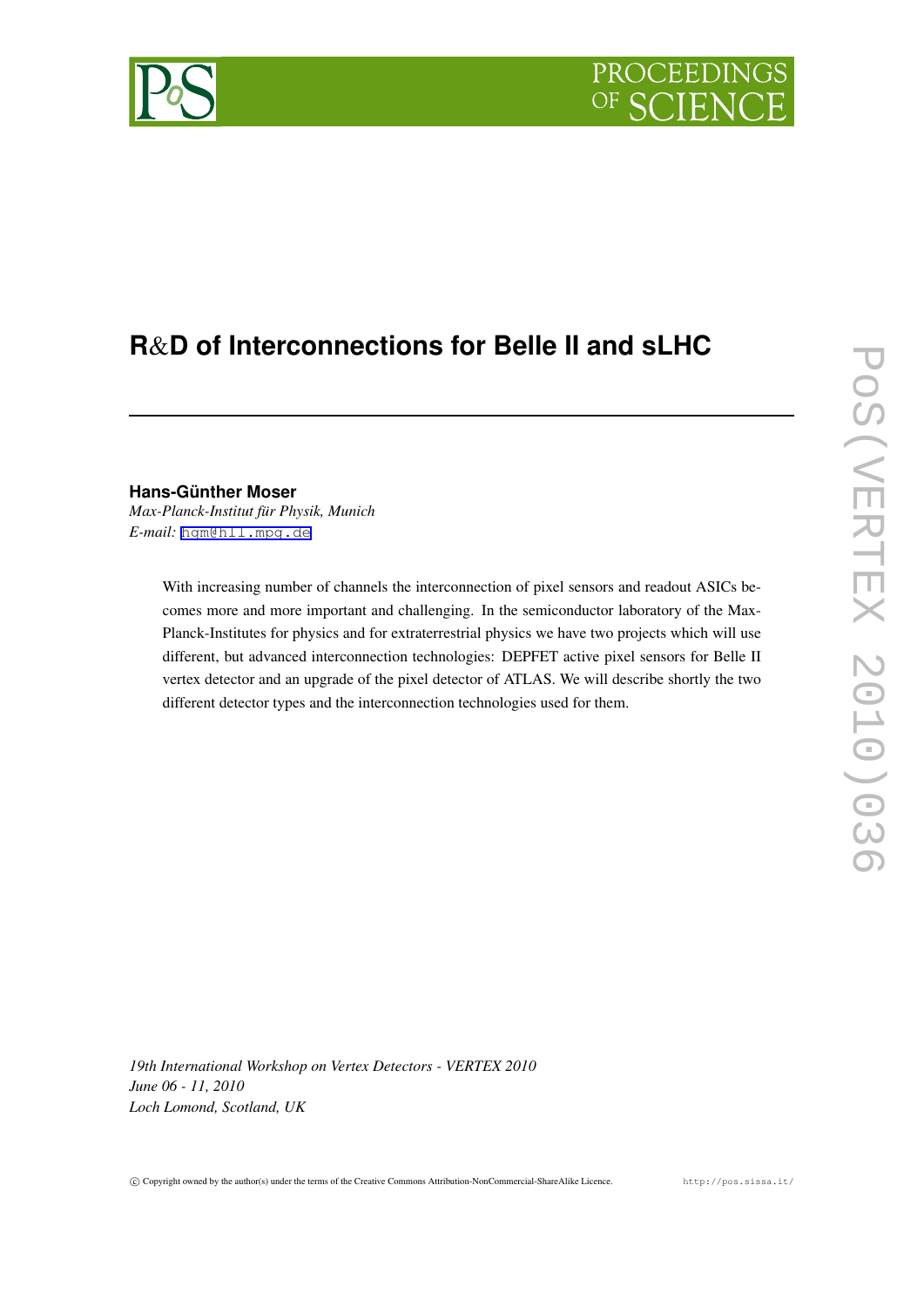# PROCEEDINGS

# **R**&**D of Interconnections for Belle II and sLHC**

# **Hans-Günther Moser**

*Max-Planck-Institut für Physik, Munich E-mail:* [hgm@hll.mpg.de](mailto:hgm@hll.mpg.de)

> With increasing number of channels the interconnection of pixel sensors and readout ASICs becomes more and more important and challenging. In the semiconductor laboratory of the Max-Planck-Institutes for physics and for extraterrestrial physics we have two projects which will use different, but advanced interconnection technologies: DEPFET active pixel sensors for Belle II vertex detector and an upgrade of the pixel detector of ATLAS. We will describe shortly the two different detector types and the interconnection technologies used for them.

*19th International Workshop on Vertex Detectors - VERTEX 2010 June 06 - 11, 2010 Loch Lomond, Scotland, UK*

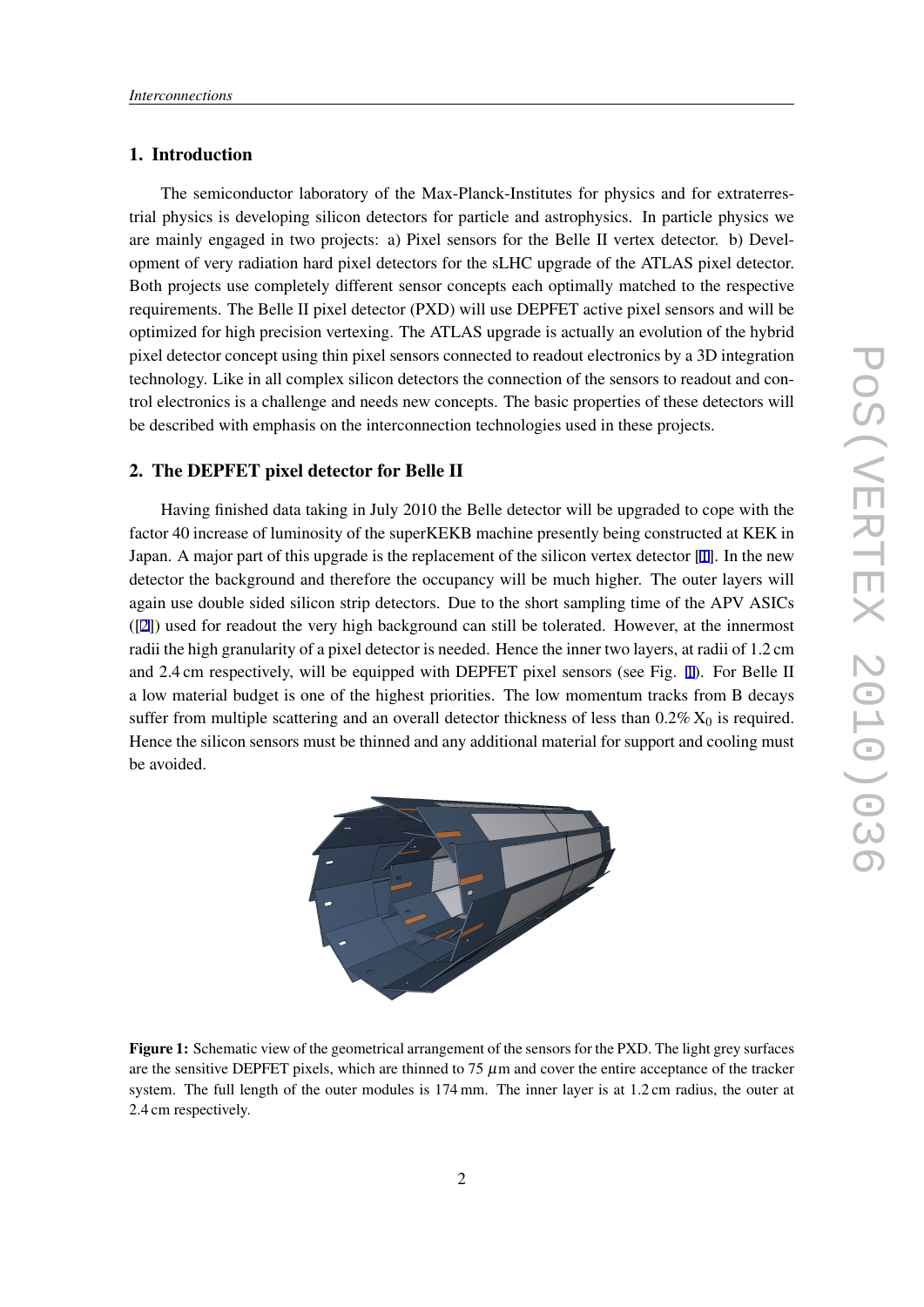# 1. Introduction

The semiconductor laboratory of the Max-Planck-Institutes for physics and for extraterrestrial physics is developing silicon detectors for particle and astrophysics. In particle physics we are mainly engaged in two projects: a) Pixel sensors for the Belle II vertex detector. b) Development of very radiation hard pixel detectors for the sLHC upgrade of the ATLAS pixel detector. Both projects use completely different sensor concepts each optimally matched to the respective requirements. The Belle II pixel detector (PXD) will use DEPFET active pixel sensors and will be optimized for high precision vertexing. The ATLAS upgrade is actually an evolution of the hybrid pixel detector concept using thin pixel sensors connected to readout electronics by a 3D integration technology. Like in all complex silicon detectors the connection of the sensors to readout and control electronics is a challenge and needs new concepts. The basic properties of these detectors will be described with emphasis on the interconnection technologies used in these projects.

# 2. The DEPFET pixel detector for Belle II

Having finished data taking in July 2010 the Belle detector will be upgraded to cope with the factor 40 increase of luminosity of the superKEKB machine presently being constructed at KEK in Japan. A major part of this upgrade is the replacement of the silicon vertex detector [\[1\]](#page-9-0). In the new detector the background and therefore the occupancy will be much higher. The outer layers will again use double sided silicon strip detectors. Due to the short sampling time of the APV ASICs ([[2](#page-9-0)]) used for readout the very high background can still be tolerated. However, at the innermost radii the high granularity of a pixel detector is needed. Hence the inner two layers, at radii of 1.2 cm and 2.4 cm respectively, will be equipped with DEPFET pixel sensors (see Fig. 1). For Belle II a low material budget is one of the highest priorities. The low momentum tracks from B decays suffer from multiple scattering and an overall detector thickness of less than  $0.2\%$   $X_0$  is required. Hence the silicon sensors must be thinned and any additional material for support and cooling must be avoided.



Figure 1: Schematic view of the geometrical arrangement of the sensors for the PXD. The light grey surfaces are the sensitive DEPFET pixels, which are thinned to 75  $\mu$ m and cover the entire acceptance of the tracker system. The full length of the outer modules is 174 mm. The inner layer is at 1.2 cm radius, the outer at 2.4 cm respectively.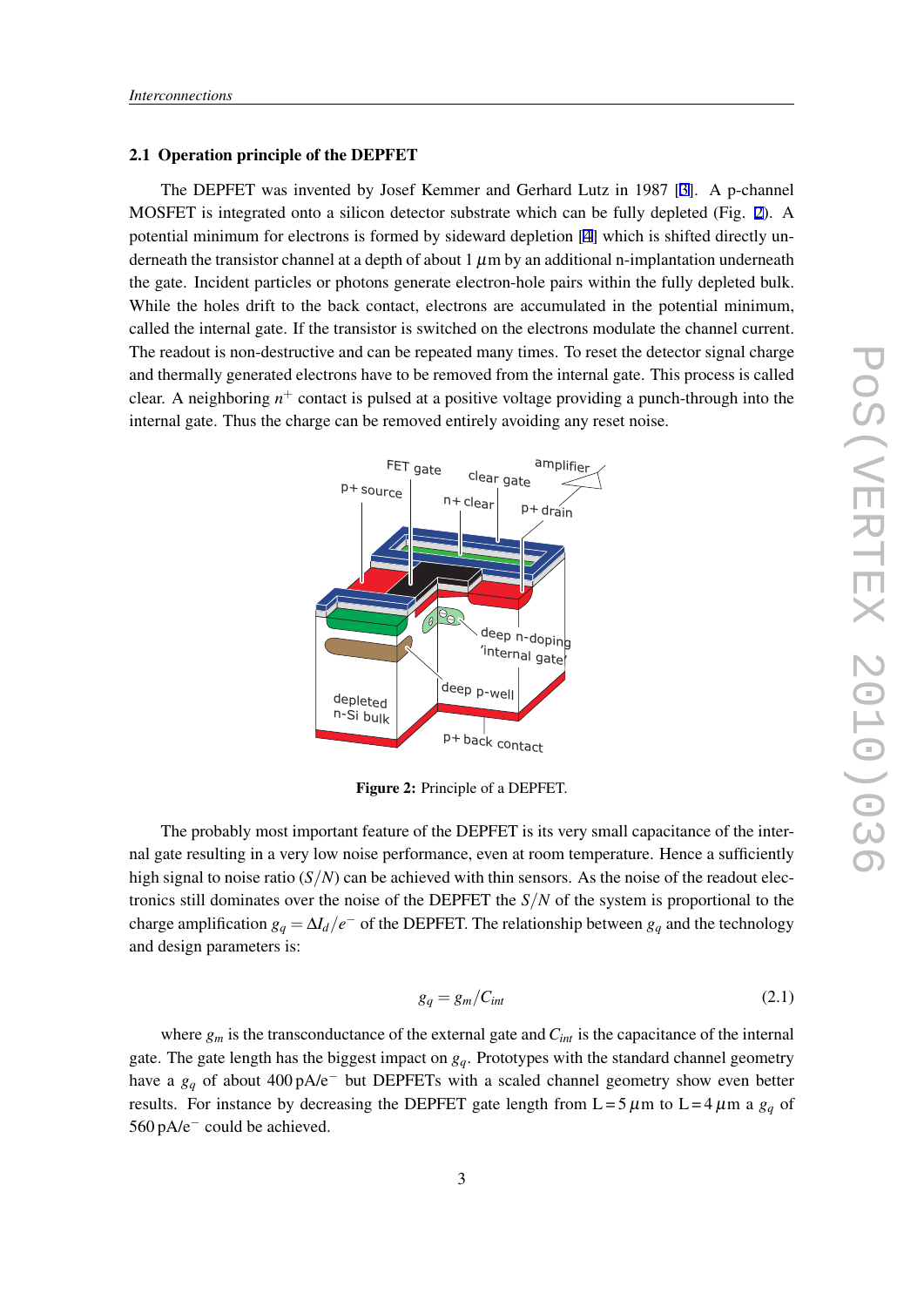#### 2.1 Operation principle of the DEPFET

The DEPFET was invented by Josef Kemmer and Gerhard Lutz in 1987 [\[3\]](#page-9-0). A p-channel MOSFET is integrated onto a silicon detector substrate which can be fully depleted (Fig. 2). A potential minimum for electrons is formed by sideward depletion [\[4\]](#page-9-0) which is shifted directly underneath the transistor channel at a depth of about  $1 \mu m$  by an additional n-implantation underneath the gate. Incident particles or photons generate electron-hole pairs within the fully depleted bulk. While the holes drift to the back contact, electrons are accumulated in the potential minimum, called the internal gate. If the transistor is switched on the electrons modulate the channel current. The readout is non-destructive and can be repeated many times. To reset the detector signal charge and thermally generated electrons have to be removed from the internal gate. This process is called clear. A neighboring *n* <sup>+</sup> contact is pulsed at a positive voltage providing a punch-through into the internal gate. Thus the charge can be removed entirely avoiding any reset noise.



Figure 2: Principle of a DEPFET.

The probably most important feature of the DEPFET is its very small capacitance of the internal gate resulting in a very low noise performance, even at room temperature. Hence a sufficiently high signal to noise ratio  $(S/N)$  can be achieved with thin sensors. As the noise of the readout electronics still dominates over the noise of the DEPFET the *S/N* of the system is proportional to the charge amplification  $g_q = \Delta I_d / e^-$  of the DEPFET. The relationship between  $g_q$  and the technology and design parameters is:

$$
g_q = g_m / C_{int} \tag{2.1}
$$

where  $g_m$  is the transconductance of the external gate and  $C_{int}$  is the capacitance of the internal gate. The gate length has the biggest impact on *gq*. Prototypes with the standard channel geometry have a *g<sup>q</sup>* of about 400 pA/e*<sup>−</sup>* but DEPFETs with a scaled channel geometry show even better results. For instance by decreasing the DEPFET gate length from  $L = 5 \mu m$  to  $L = 4 \mu m$  a  $g_q$  of 560 pA/e*−* could be achieved.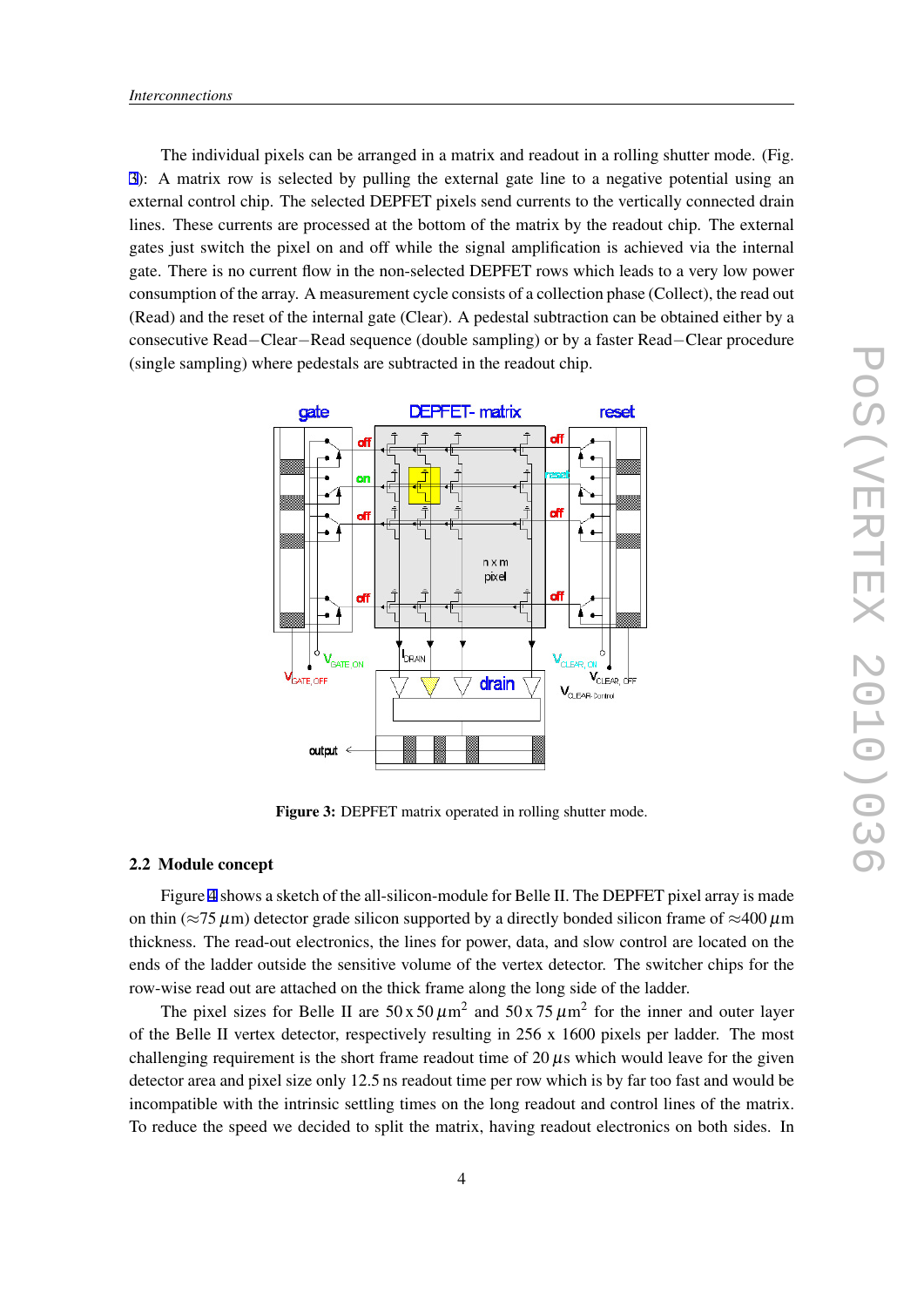<span id="page-3-0"></span>The individual pixels can be arranged in a matrix and readout in a rolling shutter mode. (Fig. 3): A matrix row is selected by pulling the external gate line to a negative potential using an external control chip. The selected DEPFET pixels send currents to the vertically connected drain lines. These currents are processed at the bottom of the matrix by the readout chip. The external gates just switch the pixel on and off while the signal amplification is achieved via the internal gate. There is no current flow in the non-selected DEPFET rows which leads to a very low power consumption of the array. A measurement cycle consists of a collection phase (Collect), the read out (Read) and the reset of the internal gate (Clear). A pedestal subtraction can be obtained either by a consecutive Read*−*Clear*−*Read sequence (double sampling) or by a faster Read*−*Clear procedure (single sampling) where pedestals are subtracted in the readout chip.



Figure 3: DEPFET matrix operated in rolling shutter mode.

#### 2.2 Module concept

Figure [4](#page-4-0) shows a sketch of the all-silicon-module for Belle II. The DEPFET pixel array is made on thin (*≈*75 <sup>µ</sup>m) detector grade silicon supported by a directly bonded silicon frame of *≈*400 <sup>µ</sup>m thickness. The read-out electronics, the lines for power, data, and slow control are located on the ends of the ladder outside the sensitive volume of the vertex detector. The switcher chips for the row-wise read out are attached on the thick frame along the long side of the ladder.

The pixel sizes for Belle II are  $50 \times 50 \mu m^2$  and  $50 \times 75 \mu m^2$  for the inner and outer layer of the Belle II vertex detector, respectively resulting in  $256 \times 1600$  pixels per ladder. The most challenging requirement is the short frame readout time of 20  $\mu$ s which would leave for the given detector area and pixel size only 12.5 ns readout time per row which is by far too fast and would be incompatible with the intrinsic settling times on the long readout and control lines of the matrix. To reduce the speed we decided to split the matrix, having readout electronics on both sides. In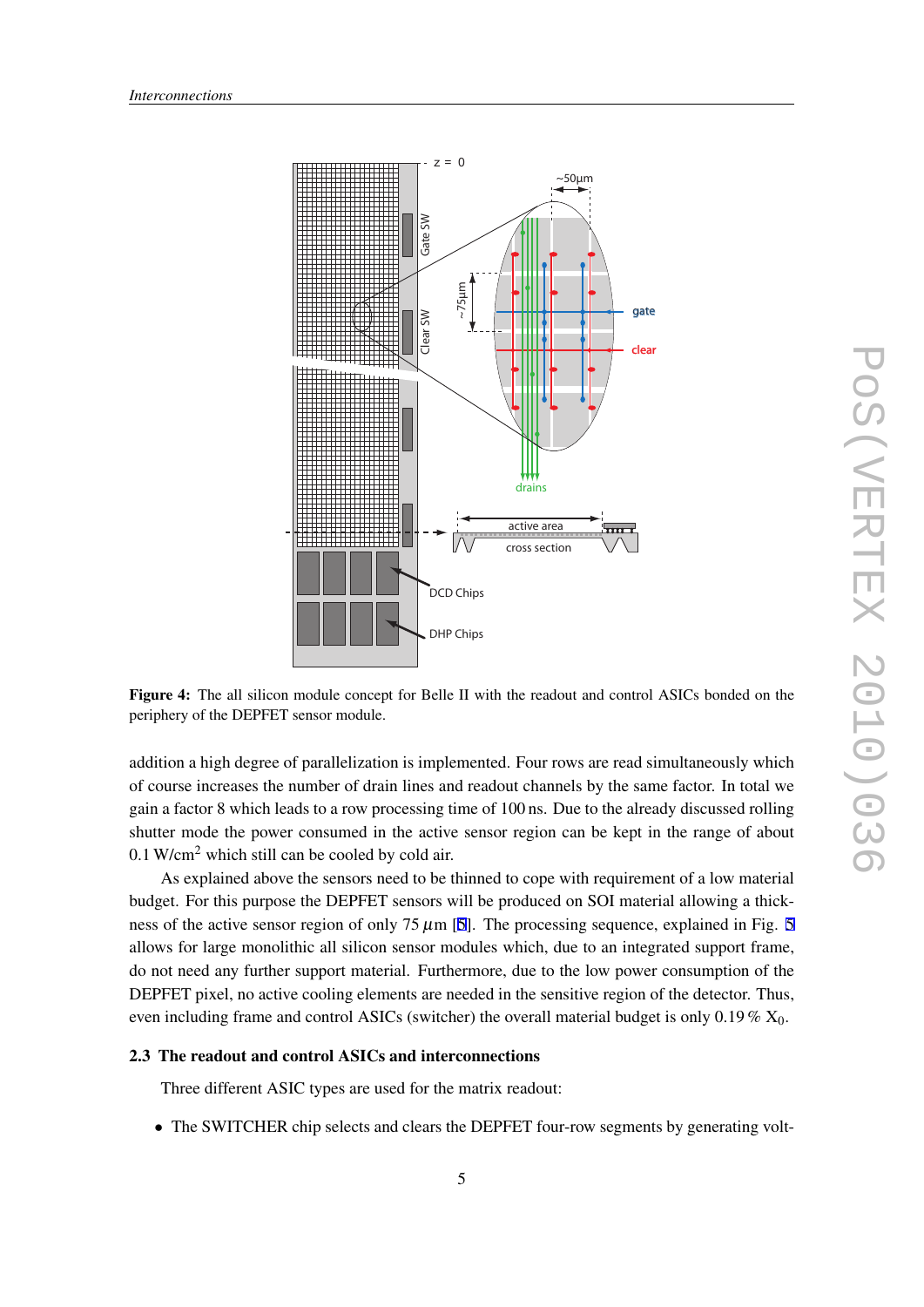<span id="page-4-0"></span>

Figure 4: The all silicon module concept for Belle II with the readout and control ASICs bonded on the periphery of the DEPFET sensor module.

addition a high degree of parallelization is implemented. Four rows are read simultaneously which of course increases the number of drain lines and readout channels by the same factor. In total we gain a factor 8 which leads to a row processing time of 100 ns. Due to the already discussed rolling shutter mode the power consumed in the active sensor region can be kept in the range of about  $0.1$  W/cm<sup>2</sup> which still can be cooled by cold air.

As explained above the sensors need to be thinned to cope with requirement of a low material budget. For this purpose the DEPFET sensors will be produced on SOI material allowing a thick-ness of the active sensor region of only 7[5](#page-5-0)  $\mu$ m [\[5](#page-9-0)]. The processing sequence, explained in Fig. 5 allows for large monolithic all silicon sensor modules which, due to an integrated support frame, do not need any further support material. Furthermore, due to the low power consumption of the DEPFET pixel, no active cooling elements are needed in the sensitive region of the detector. Thus, even including frame and control ASICs (switcher) the overall material budget is only  $0.19\%$   $X_0$ .

#### 2.3 The readout and control ASICs and interconnections

Three different ASIC types are used for the matrix readout:

• The SWITCHER chip selects and clears the DEPFET four-row segments by generating volt-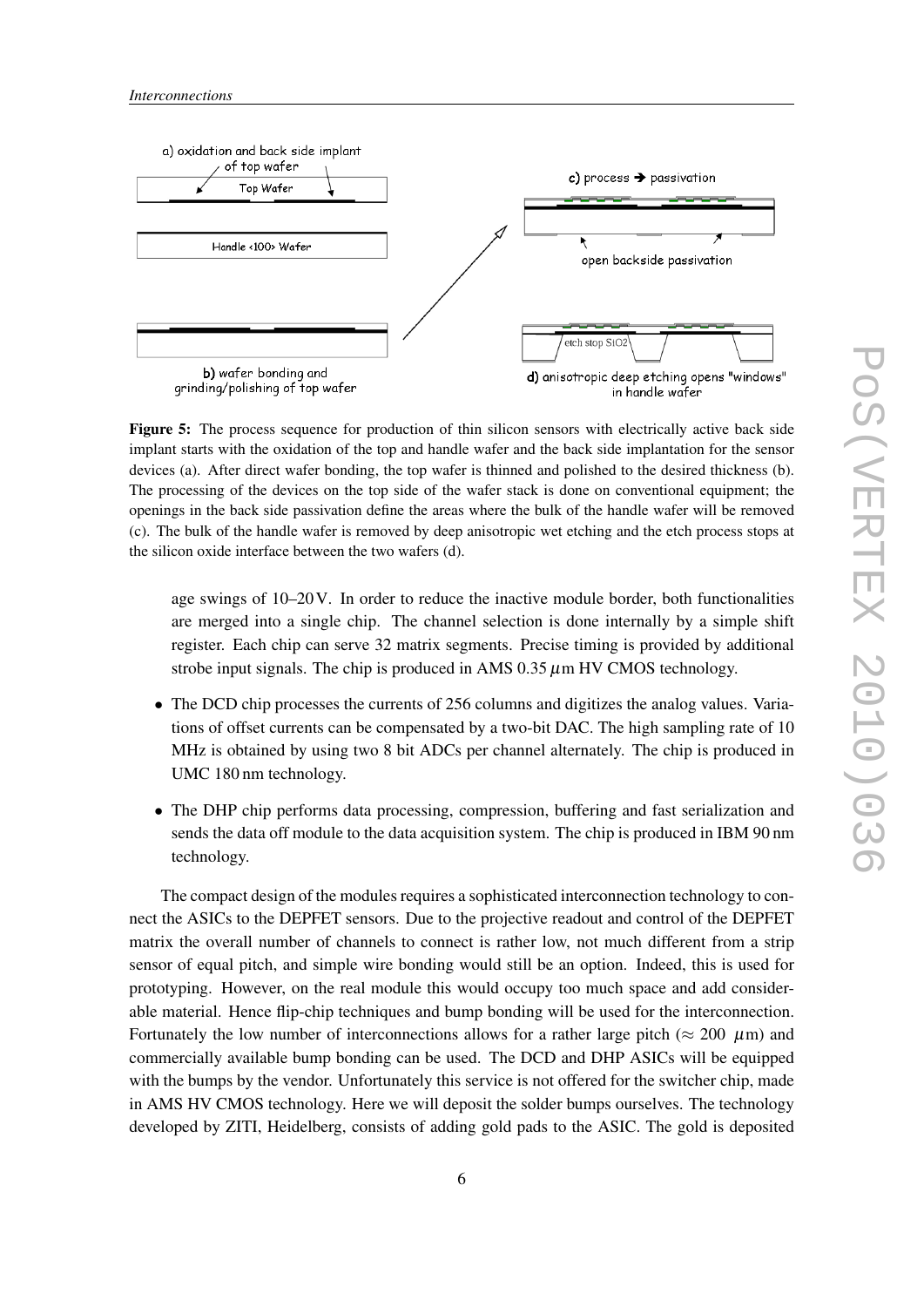<span id="page-5-0"></span>

Figure 5: The process sequence for production of thin silicon sensors with electrically active back side implant starts with the oxidation of the top and handle wafer and the back side implantation for the sensor devices (a). After direct wafer bonding, the top wafer is thinned and polished to the desired thickness (b). The processing of the devices on the top side of the wafer stack is done on conventional equipment; the openings in the back side passivation define the areas where the bulk of the handle wafer will be removed (c). The bulk of the handle wafer is removed by deep anisotropic wet etching and the etch process stops at the silicon oxide interface between the two wafers (d).

age swings of 10–20V. In order to reduce the inactive module border, both functionalities are merged into a single chip. The channel selection is done internally by a simple shift register. Each chip can serve 32 matrix segments. Precise timing is provided by additional strobe input signals. The chip is produced in AMS  $0.35 \mu$ m HV CMOS technology.

- The DCD chip processes the currents of 256 columns and digitizes the analog values. Variations of offset currents can be compensated by a two-bit DAC. The high sampling rate of 10 MHz is obtained by using two 8 bit ADCs per channel alternately. The chip is produced in UMC 180 nm technology.
- The DHP chip performs data processing, compression, buffering and fast serialization and sends the data off module to the data acquisition system. The chip is produced in IBM 90 nm technology.

The compact design of the modules requires a sophisticated interconnection technology to connect the ASICs to the DEPFET sensors. Due to the projective readout and control of the DEPFET matrix the overall number of channels to connect is rather low, not much different from a strip sensor of equal pitch, and simple wire bonding would still be an option. Indeed, this is used for prototyping. However, on the real module this would occupy too much space and add considerable material. Hence flip-chip techniques and bump bonding will be used for the interconnection. Fortunately the low number of interconnections allows for a rather large pitch ( $\approx$  200  $\mu$ m) and commercially available bump bonding can be used. The DCD and DHP ASICs will be equipped with the bumps by the vendor. Unfortunately this service is not offered for the switcher chip, made in AMS HV CMOS technology. Here we will deposit the solder bumps ourselves. The technology developed by ZITI, Heidelberg, consists of adding gold pads to the ASIC. The gold is deposited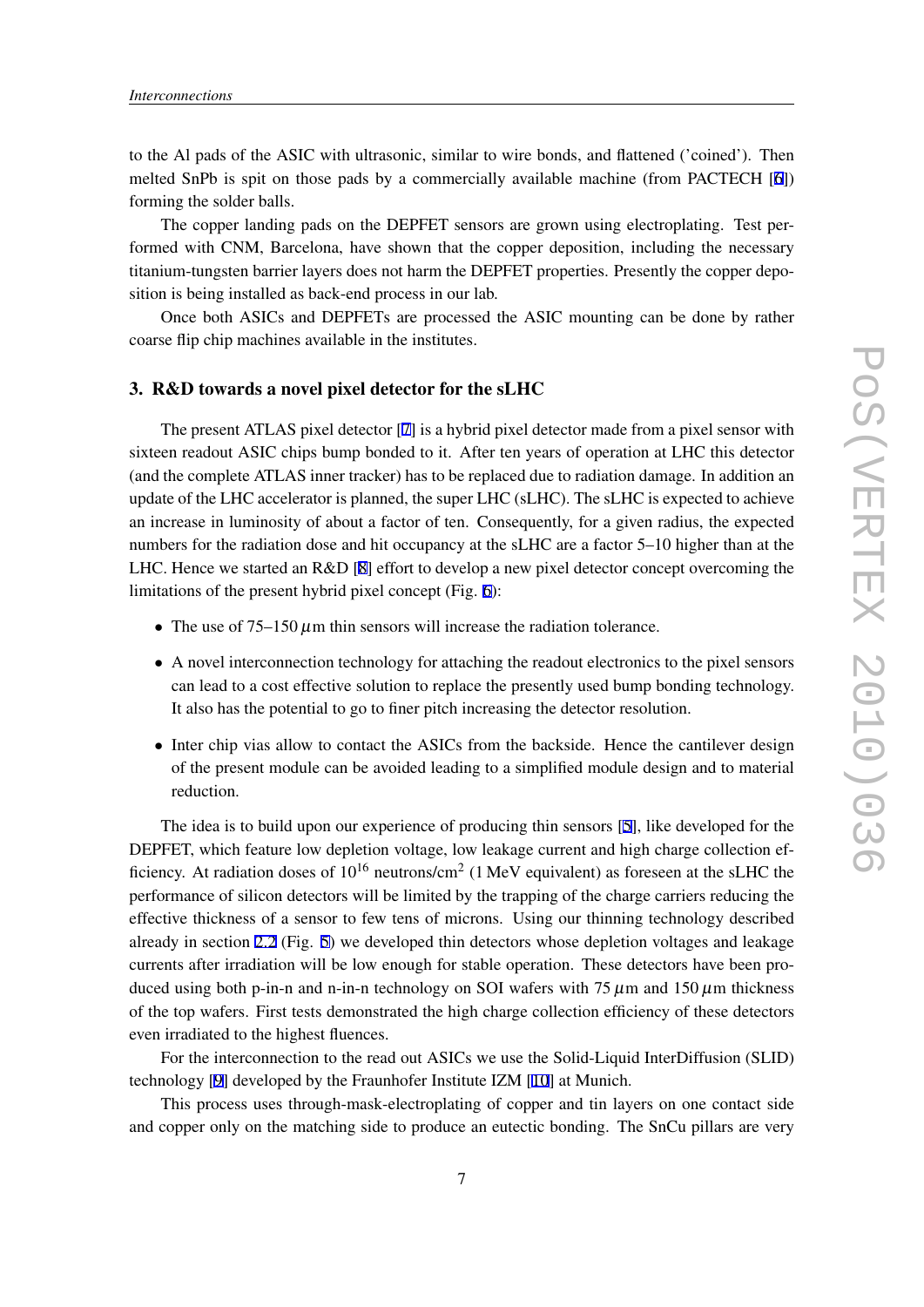to the Al pads of the ASIC with ultrasonic, similar to wire bonds, and flattened ('coined'). Then melted SnPb is spit on those pads by a commercially available machine (from PACTECH [\[6\]](#page-9-0)) forming the solder balls.

The copper landing pads on the DEPFET sensors are grown using electroplating. Test performed with CNM, Barcelona, have shown that the copper deposition, including the necessary titanium-tungsten barrier layers does not harm the DEPFET properties. Presently the copper deposition is being installed as back-end process in our lab.

Once both ASICs and DEPFETs are processed the ASIC mounting can be done by rather coarse flip chip machines available in the institutes.

# 3. R&D towards a novel pixel detector for the sLHC

The present ATLAS pixel detector [\[7\]](#page-9-0) is a hybrid pixel detector made from a pixel sensor with sixteen readout ASIC chips bump bonded to it. After ten years of operation at LHC this detector (and the complete ATLAS inner tracker) has to be replaced due to radiation damage. In addition an update of the LHC accelerator is planned, the super LHC (sLHC). The sLHC is expected to achieve an increase in luminosity of about a factor of ten. Consequently, for a given radius, the expected numbers for the radiation dose and hit occupancy at the sLHC are a factor 5–10 higher than at the LHC. Hence we started an R&D [\[8\]](#page-9-0) effort to develop a new pixel detector concept overcoming the limitations of the present hybrid pixel concept (Fig. [6\)](#page-7-0):

- The use of  $75-150 \mu m$  thin sensors will increase the radiation tolerance.
- A novel interconnection technology for attaching the readout electronics to the pixel sensors can lead to a cost effective solution to replace the presently used bump bonding technology. It also has the potential to go to finer pitch increasing the detector resolution.
- Inter chip vias allow to contact the ASICs from the backside. Hence the cantilever design of the present module can be avoided leading to a simplified module design and to material reduction.

The idea is to build upon our experience of producing thin sensors [[5](#page-9-0)], like developed for the DEPFET, which feature low depletion voltage, low leakage current and high charge collection efficiency. At radiation doses of  $10^{16}$  neutrons/cm<sup>2</sup> (1 MeV equivalent) as foreseen at the sLHC the performance of silicon detectors will be limited by the trapping of the charge carriers reducing the effective thickness of a sensor to few tens of microns. Using our thinning technology described already in section [2.2](#page-3-0) (Fig. [5](#page-5-0)) we developed thin detectors whose depletion voltages and leakage currents after irradiation will be low enough for stable operation. These detectors have been produced using both p-in-n and n-in-n technology on SOI wafers with  $75 \mu m$  and  $150 \mu m$  thickness of the top wafers. First tests demonstrated the high charge collection efficiency of these detectors even irradiated to the highest fluences.

For the interconnection to the read out ASICs we use the Solid-Liquid InterDiffusion (SLID) technology [\[9\]](#page-9-0) developed by the Fraunhofer Institute IZM [[10\]](#page-9-0) at Munich.

This process uses through-mask-electroplating of copper and tin layers on one contact side and copper only on the matching side to produce an eutectic bonding. The SnCu pillars are very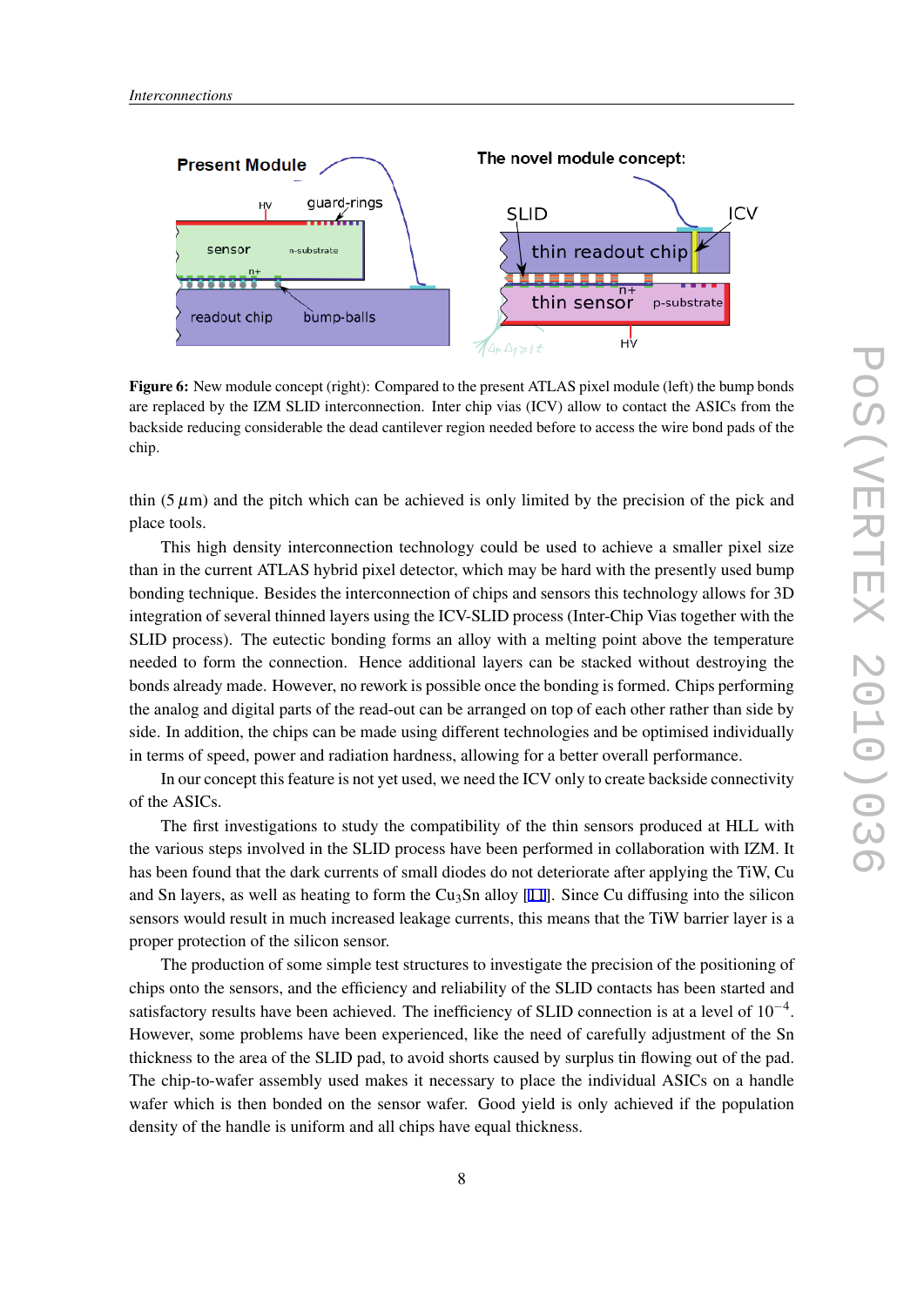<span id="page-7-0"></span>

Figure 6: New module concept (right): Compared to the present ATLAS pixel module (left) the bump bonds are replaced by the IZM SLID interconnection. Inter chip vias (ICV) allow to contact the ASICs from the backside reducing considerable the dead cantilever region needed before to access the wire bond pads of the chip.

thin  $(5 \mu m)$  and the pitch which can be achieved is only limited by the precision of the pick and place tools.

This high density interconnection technology could be used to achieve a smaller pixel size than in the current ATLAS hybrid pixel detector, which may be hard with the presently used bump bonding technique. Besides the interconnection of chips and sensors this technology allows for 3D integration of several thinned layers using the ICV-SLID process (Inter-Chip Vias together with the SLID process). The eutectic bonding forms an alloy with a melting point above the temperature needed to form the connection. Hence additional layers can be stacked without destroying the bonds already made. However, no rework is possible once the bonding is formed. Chips performing the analog and digital parts of the read-out can be arranged on top of each other rather than side by side. In addition, the chips can be made using different technologies and be optimised individually in terms of speed, power and radiation hardness, allowing for a better overall performance.

In our concept this feature is not yet used, we need the ICV only to create backside connectivity of the ASICs.

The first investigations to study the compatibility of the thin sensors produced at HLL with the various steps involved in the SLID process have been performed in collaboration with IZM. It has been found that the dark currents of small diodes do not deteriorate after applying the TiW, Cu and Sn layers, as well as heating to form the Cu<sub>3</sub>Sn alloy [[11\]](#page-9-0). Since Cu diffusing into the silicon sensors would result in much increased leakage currents, this means that the TiW barrier layer is a proper protection of the silicon sensor.

The production of some simple test structures to investigate the precision of the positioning of chips onto the sensors, and the efficiency and reliability of the SLID contacts has been started and satisfactory results have been achieved. The inefficiency of SLID connection is at a level of 10*−*<sup>4</sup> . However, some problems have been experienced, like the need of carefully adjustment of the Sn thickness to the area of the SLID pad, to avoid shorts caused by surplus tin flowing out of the pad. The chip-to-wafer assembly used makes it necessary to place the individual ASICs on a handle wafer which is then bonded on the sensor wafer. Good yield is only achieved if the population density of the handle is uniform and all chips have equal thickness.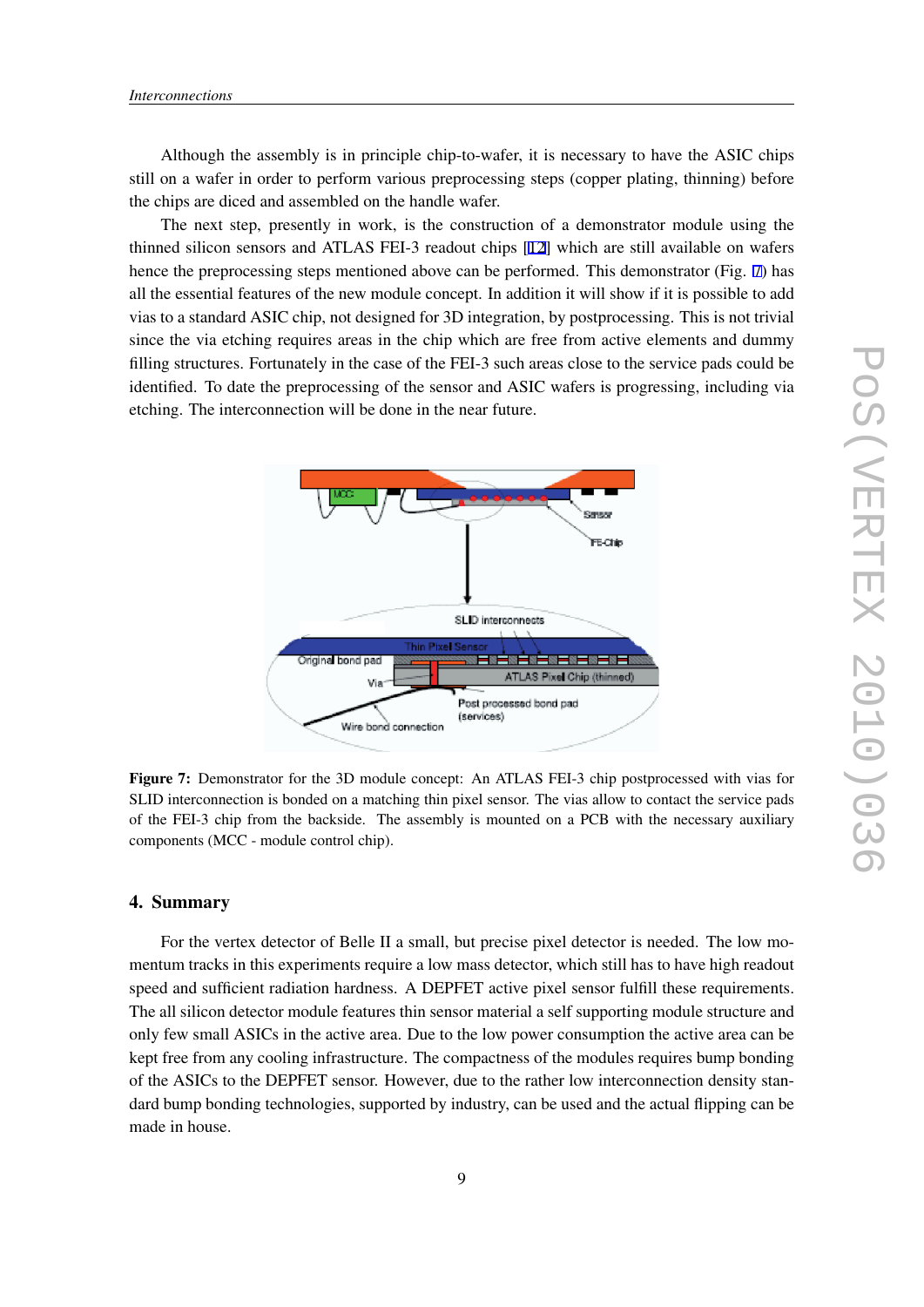Although the assembly is in principle chip-to-wafer, it is necessary to have the ASIC chips still on a wafer in order to perform various preprocessing steps (copper plating, thinning) before the chips are diced and assembled on the handle wafer.

The next step, presently in work, is the construction of a demonstrator module using the thinned silicon sensors and ATLAS FEI-3 readout chips [[12\]](#page-9-0) which are still available on wafers hence the preprocessing steps mentioned above can be performed. This demonstrator (Fig. 7) has all the essential features of the new module concept. In addition it will show if it is possible to add vias to a standard ASIC chip, not designed for 3D integration, by postprocessing. This is not trivial since the via etching requires areas in the chip which are free from active elements and dummy filling structures. Fortunately in the case of the FEI-3 such areas close to the service pads could be identified. To date the preprocessing of the sensor and ASIC wafers is progressing, including via etching. The interconnection will be done in the near future.



Figure 7: Demonstrator for the 3D module concept: An ATLAS FEI-3 chip postprocessed with vias for SLID interconnection is bonded on a matching thin pixel sensor. The vias allow to contact the service pads of the FEI-3 chip from the backside. The assembly is mounted on a PCB with the necessary auxiliary components (MCC - module control chip).

### 4. Summary

For the vertex detector of Belle II a small, but precise pixel detector is needed. The low momentum tracks in this experiments require a low mass detector, which still has to have high readout speed and sufficient radiation hardness. A DEPFET active pixel sensor fulfill these requirements. The all silicon detector module features thin sensor material a self supporting module structure and only few small ASICs in the active area. Due to the low power consumption the active area can be kept free from any cooling infrastructure. The compactness of the modules requires bump bonding of the ASICs to the DEPFET sensor. However, due to the rather low interconnection density standard bump bonding technologies, supported by industry, can be used and the actual flipping can be made in house.